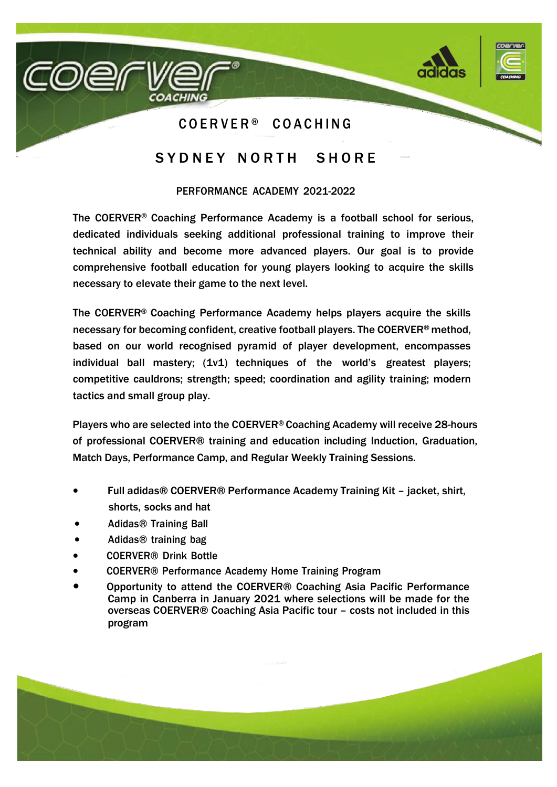

# SYDNEY NORTH SHORE

#### PERFORMANCE ACADEMY 2021-2022

The COERVER® Coaching Performance Academy is a football school for serious, dedicated individuals seeking additional professional training to improve their technical ability and become more advanced players. Our goal is to provide comprehensive football education for young players looking to acquire the skills necessary to elevate their game to the next level.

The COERVER® Coaching Performance Academy helps players acquire the skills necessary for becoming confident, creative football players. The COERVER® method, based on our world recognised pyramid of player development, encompasses individual ball mastery; (1v1) techniques of the world's greatest players; competitive cauldrons; strength; speed; coordination and agility training; modern tactics and small group play.

Players who are selected into the COERVER® Coaching Academy will receive 28-hours of professional COERVER® training and education including Induction, Graduation, Match Days, Performance Camp, and Regular Weekly Training Sessions.

- Full adidas® COERVER® Performance Academy Training Kit jacket, shirt, shorts, socks and hat
- Adidas® Training Ball
- Adidas® training bag
- COERVER® Drink Bottle
- COERVER® Performance Academy Home Training Program
- Opportunity to attend the COERVER® Coaching Asia Pacific Performance Camp in Canberra in January 2021 where selections will be made for the overseas COERVER® Coaching Asia Pacific tour – costs not included in this program

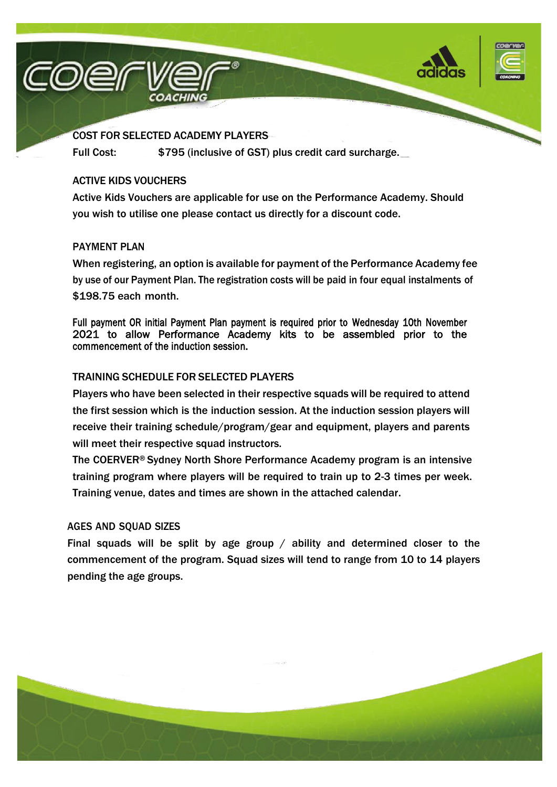



## COST FOR SELECTED ACADEMY PLAYERS

Full Cost: \$795 (inclusive of GST) plus credit card surcharge.

#### ACTIVE KIDS VOUCHERS

Active Kids Vouchers are applicable for use on the Performance Academy. Should you wish to utilise one please contact us directly for a discount code.

## PAYMENT PLAN

When registering, an option is available for payment of the Performance Academy fee by use of our Payment Plan. The registration costs will be paid in four equal instalments of \$198.75 each month.

Full payment OR initial Payment Plan payment is required prior to Wednesday 10th November 2021 to allow Performance Academy kits to be assembled prior to the commencement of the induction session.

#### TRAINING SCHEDULE FOR SELECTED PLAYERS

Players who have been selected in their respective squads will be required to attend the first session which is the induction session. At the induction session players will receive their training schedule/program/gear and equipment, players and parents will meet their respective squad instructors.

The COERVER® Sydney North Shore Performance Academy program is an intensive training program where players will be required to train up to 2-3 times per week. Training venue, dates and times are shown in the attached calendar.

## AGES AND SQUAD SIZES

Final squads will be split by age group  $/$  ability and determined closer to the commencement of the program. Squad sizes will tend to range from 10 to 14 players pending the age groups.